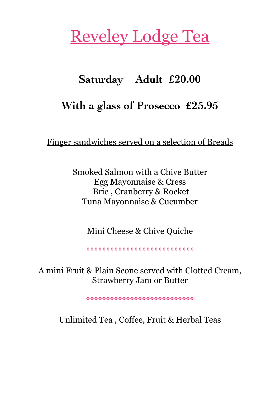## Reveley Lodge Tea

## **Saturday Adult £20.00**

## **With a glass of Prosecco £25.95**

Finger sandwiches served on a selection of Breads

Smoked Salmon with a Chive Butter Egg Mayonnaise & Cress Brie , Cranberry & Rocket Tuna Mayonnaise & Cucumber

Mini Cheese & Chive Quiche

\*\*\*\*\*\*\*\*\*\*\*\*\*\*\*\*\*\*\*\*\*\*\*\*\*\*\*

A mini Fruit & Plain Scone served with Clotted Cream, Strawberry Jam or Butter

\*\*\*\*\*\*\*\*\*\*\*\*\*\*\*\*\*\*\*\*\*\*\*\*\*\*\*

Unlimited Tea , Coffee, Fruit & Herbal Teas